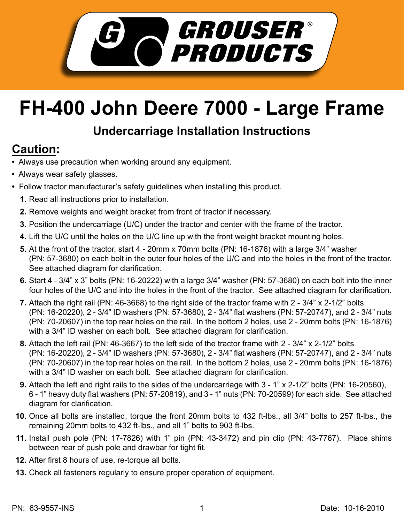

## **FH-400 John Deere 7000 - Large Frame**

## **Undercarriage Installation Instructions**

## **Caution:**

- Always use precaution when working around any equipment.
- Always wear safety glasses.
- Follow tractor manufacturer's safety guidelines when installing this product.
	- **1.** Read all instructions prior to installation.
	- **2.** Remove weights and weight bracket from front of tractor if necessary.
	- **3.** Position the undercarriage (U/C) under the tractor and center with the frame of the tractor.
	- **4.** Lift the U/C until the holes on the U/C line up with the front weight bracket mounting holes.
	- **5.** At the front of the tractor, start 4 20mm x 70mm bolts (PN: 16-1876) with a large 3/4" washer (PN: 57-3680) on each bolt in the outer four holes of the U/C and into the holes in the front of the tractor. See attached diagram for clarification.
	- Start 4 3/4" x 3" bolts (PN: 16-20222) with a large 3/4" washer (PN: 57-3680) on each bolt into the inner **6.** four holes of the U/C and into the holes in the front of the tractor. See attached diagram for clarification.
	- **7.** Attach the right rail (PN: 46-3668) to the right side of the tractor frame with 2 3/4" x 2-1/2" bolts (PN: 16-20220), 2 - 3/4" ID washers (PN: 57-3680), 2 - 3/4" flat washers (PN: 57-20747), and 2 - 3/4" nuts (PN: 70-20607) in the top rear holes on the rail. In the bottom 2 holes, use 2 - 20mm bolts (PN: 16-1876) with a 3/4" ID washer on each bolt. See attached diagram for clarification.
	- Attach the left rail (PN: 46-3667) to the left side of the tractor frame with 2 3/4" x 2-1/2" bolts **8.** (PN: 16-20220), 2 - 3/4" ID washers (PN: 57-3680), 2 - 3/4" flat washers (PN: 57-20747), and 2 - 3/4" nuts (PN: 70-20607) in the top rear holes on the rail. In the bottom 2 holes, use 2 - 20mm bolts (PN: 16-1876) with a 3/4" ID washer on each bolt. See attached diagram for clarification.
	- Attach the left and right rails to the sides of the undercarriage with 3 1" x 2-1/2" bolts (PN: 16-20560), **9.** 6 - 1" heavy duty flat washers (PN: 57-20819), and 3 - 1" nuts (PN: 70-20599) for each side. See attached diagram for clarification.
	- **10.** Once all bolts are installed, torque the front 20mm bolts to 432 ft-lbs., all 3/4" bolts to 257 ft-lbs., the remaining 20mm bolts to 432 ft-lbs., and all 1" bolts to 903 ft-lbs.
	- Install push pole (PN: 17-7826) with 1" pin (PN: 43-3472) and pin clip (PN: 43-7767). Place shims **11.** between rear of push pole and drawbar for tight fit.
	- **12.** After first 8 hours of use, re-torque all bolts.
	- **13.** Check all fasteners regularly to ensure proper operation of equipment.